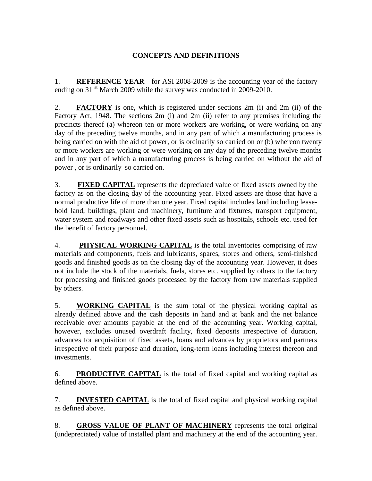## **CONCEPTS AND DEFINITIONS**

1. **REFERENCE YEAR** for ASI 2008-2009 is the accounting year of the factory ending on 31<sup>st</sup> March 2009 while the survey was conducted in 2009-2010.

2. **FACTORY** is one, which is registered under sections 2m (i) and 2m (ii) of the Factory Act, 1948. The sections 2m (i) and 2m (ii) refer to any premises including the precincts thereof (a) whereon ten or more workers are working, or were working on any day of the preceding twelve months, and in any part of which a manufacturing process is being carried on with the aid of power, or is ordinarily so carried on or (b) whereon twenty or more workers are working or were working on any day of the preceding twelve months and in any part of which a manufacturing process is being carried on without the aid of power , or is ordinarily so carried on.

3. **FIXED CAPITAL** represents the depreciated value of fixed assets owned by the factory as on the closing day of the accounting year. Fixed assets are those that have a normal productive life of more than one year. Fixed capital includes land including leasehold land, buildings, plant and machinery, furniture and fixtures, transport equipment, water system and roadways and other fixed assets such as hospitals, schools etc. used for the benefit of factory personnel.

4. **PHYSICAL WORKING CAPITAL** is the total inventories comprising of raw materials and components, fuels and lubricants, spares, stores and others, semi-finished goods and finished goods as on the closing day of the accounting year. However, it does not include the stock of the materials, fuels, stores etc. supplied by others to the factory for processing and finished goods processed by the factory from raw materials supplied by others.

5. **WORKING CAPITAL** is the sum total of the physical working capital as already defined above and the cash deposits in hand and at bank and the net balance receivable over amounts payable at the end of the accounting year. Working capital, however, excludes unused overdraft facility, fixed deposits irrespective of duration, advances for acquisition of fixed assets, loans and advances by proprietors and partners irrespective of their purpose and duration, long-term loans including interest thereon and investments.

6. **PRODUCTIVE CAPITAL** is the total of fixed capital and working capital as defined above.

7. **INVESTED CAPITAL** is the total of fixed capital and physical working capital as defined above.

8. **GROSS VALUE OF PLANT OF MACHINERY** represents the total original (undepreciated) value of installed plant and machinery at the end of the accounting year.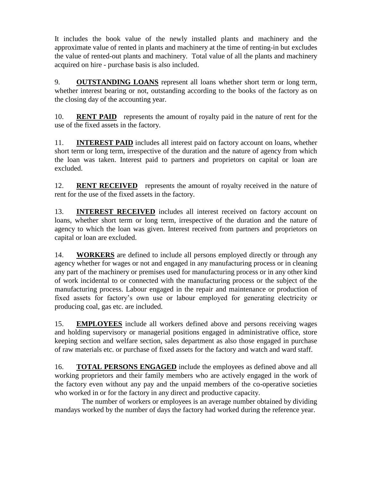It includes the book value of the newly installed plants and machinery and the approximate value of rented in plants and machinery at the time of renting-in but excludes the value of rented-out plants and machinery. Total value of all the plants and machinery acquired on hire - purchase basis is also included.

9. **OUTSTANDING LOANS** represent all loans whether short term or long term, whether interest bearing or not, outstanding according to the books of the factory as on the closing day of the accounting year.

10. **RENT PAID** represents the amount of royalty paid in the nature of rent for the use of the fixed assets in the factory.

11. **INTEREST PAID** includes all interest paid on factory account on loans, whether short term or long term, irrespective of the duration and the nature of agency from which the loan was taken. Interest paid to partners and proprietors on capital or loan are excluded.

12. **RENT RECEIVED** represents the amount of royalty received in the nature of rent for the use of the fixed assets in the factory.

13. **INTEREST RECEIVED** includes all interest received on factory account on loans, whether short term or long term, irrespective of the duration and the nature of agency to which the loan was given. Interest received from partners and proprietors on capital or loan are excluded.

14. **WORKERS** are defined to include all persons employed directly or through any agency whether for wages or not and engaged in any manufacturing process or in cleaning any part of the machinery or premises used for manufacturing process or in any other kind of work incidental to or connected with the manufacturing process or the subject of the manufacturing process. Labour engaged in the repair and maintenance or production of fixed assets for factory's own use or labour employed for generating electricity or producing coal, gas etc. are included.

15. **EMPLOYEES** include all workers defined above and persons receiving wages and holding supervisory or managerial positions engaged in administrative office, store keeping section and welfare section, sales department as also those engaged in purchase of raw materials etc. or purchase of fixed assets for the factory and watch and ward staff.

16. **TOTAL PERSONS ENGAGED** include the employees as defined above and all working proprietors and their family members who are actively engaged in the work of the factory even without any pay and the unpaid members of the co-operative societies who worked in or for the factory in any direct and productive capacity.

 The number of workers or employees is an average number obtained by dividing mandays worked by the number of days the factory had worked during the reference year.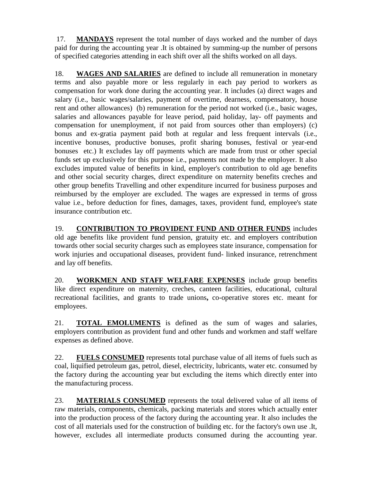17. **MANDAYS** represent the total number of days worked and the number of days paid for during the accounting year .It is obtained by summing-up the number of persons of specified categories attending in each shift over all the shifts worked on all days.

18. **WAGES AND SALARIES** are defined to include all remuneration in monetary terms and also payable more or less regularly in each pay period to workers as compensation for work done during the accounting year. It includes (a) direct wages and salary (i.e., basic wages/salaries, payment of overtime, dearness, compensatory, house rent and other allowances) (b) remuneration for the period not worked (i.e., basic wages, salaries and allowances payable for leave period, paid holiday, lay- off payments and compensation for unemployment, if not paid from sources other than employers) (c) bonus and ex-gratia payment paid both at regular and less frequent intervals (i.e., incentive bonuses, productive bonuses, profit sharing bonuses, festival or year-end bonuses etc.) It excludes lay off payments which are made from trust or other special funds set up exclusively for this purpose i.e., payments not made by the employer. It also excludes imputed value of benefits in kind, employer's contribution to old age benefits and other social security charges, direct expenditure on maternity benefits creches and other group benefits Travelling and other expenditure incurred for business purposes and reimbursed by the employer are excluded. The wages are expressed in terms of gross value i.e., before deduction for fines, damages, taxes, provident fund, employee's state insurance contribution etc.

19. **CONTRIBUTION TO PROVIDENT FUND AND OTHER FUNDS** includes old age benefits like provident fund pension, gratuity etc. and employers contribution towards other social security charges such as employees state insurance, compensation for work injuries and occupational diseases, provident fund- linked insurance, retrenchment and lay off benefits.

20. **WORKMEN AND STAFF WELFARE EXPENSES** include group benefits like direct expenditure on maternity, creches, canteen facilities, educational, cultural recreational facilities, and grants to trade unions**,** co-operative stores etc. meant for employees.

21. **TOTAL EMOLUMENTS** is defined as the sum of wages and salaries, employers contribution as provident fund and other funds and workmen and staff welfare expenses as defined above.

22. **FUELS CONSUMED** represents total purchase value of all items of fuels such as coal, liquified petroleum gas, petrol, diesel, electricity, lubricants, water etc. consumed by the factory during the accounting year but excluding the items which directly enter into the manufacturing process.

23. **MATERIALS CONSUMED** represents the total delivered value of all items of raw materials, components, chemicals, packing materials and stores which actually enter into the production process of the factory during the accounting year. It also includes the cost of all materials used for the construction of building etc. for the factory's own use .It, however, excludes all intermediate products consumed during the accounting year.